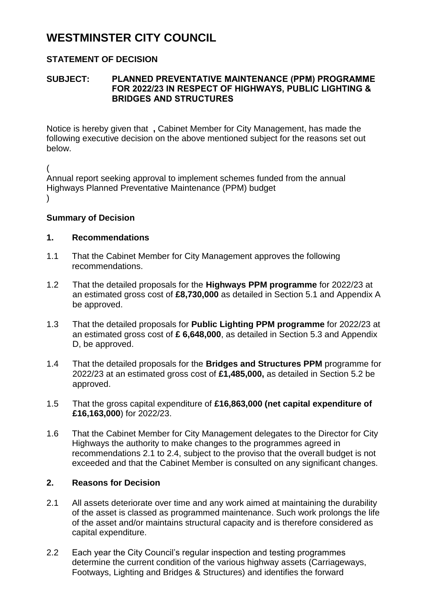# **WESTMINSTER CITY COUNCIL**

## **STATEMENT OF DECISION**

### **SUBJECT: PLANNED PREVENTATIVE MAINTENANCE (PPM) PROGRAMME FOR 2022/23 IN RESPECT OF HIGHWAYS, PUBLIC LIGHTING & BRIDGES AND STRUCTURES**

Notice is hereby given that **,** Cabinet Member for City Management, has made the following executive decision on the above mentioned subject for the reasons set out below.

( Annual report seeking approval to implement schemes funded from the annual Highways Planned Preventative Maintenance (PPM) budget  $\lambda$ 

### **Summary of Decision**

### **1. Recommendations**

- 1.1 That the Cabinet Member for City Management approves the following recommendations.
- 1.2 That the detailed proposals for the **Highways PPM programme** for 2022/23 at an estimated gross cost of **£8,730,000** as detailed in Section 5.1 and Appendix A be approved.
- 1.3 That the detailed proposals for **Public Lighting PPM programme** for 2022/23 at an estimated gross cost of **£ 6,648,000**, as detailed in Section 5.3 and Appendix D, be approved.
- 1.4 That the detailed proposals for the **Bridges and Structures PPM** programme for 2022/23 at an estimated gross cost of **£1,485,000,** as detailed in Section 5.2 be approved.
- 1.5 That the gross capital expenditure of **£16,863,000 (net capital expenditure of £16,163,000**) for 2022/23.
- 1.6 That the Cabinet Member for City Management delegates to the Director for City Highways the authority to make changes to the programmes agreed in recommendations 2.1 to 2.4, subject to the proviso that the overall budget is not exceeded and that the Cabinet Member is consulted on any significant changes.

### **2. Reasons for Decision**

- 2.1 All assets deteriorate over time and any work aimed at maintaining the durability of the asset is classed as programmed maintenance. Such work prolongs the life of the asset and/or maintains structural capacity and is therefore considered as capital expenditure.
- 2.2 Each year the City Council's regular inspection and testing programmes determine the current condition of the various highway assets (Carriageways, Footways, Lighting and Bridges & Structures) and identifies the forward